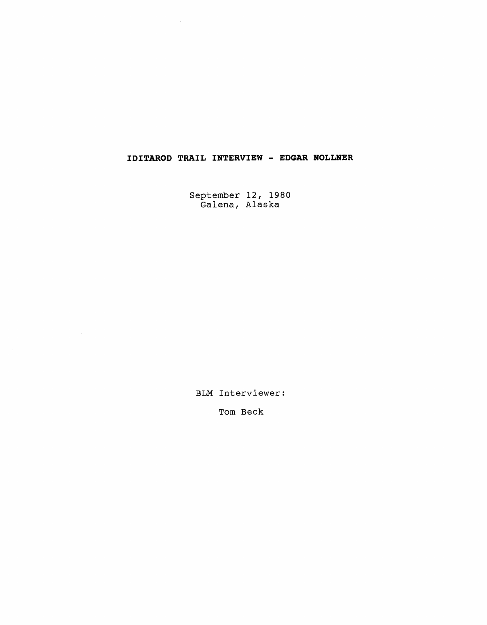## **IDITAROD TRAIL INTERVIEW** - **EDGAR NOLLNER**

September 12, 1980 Galena, Alaska

BLM Interviewer:

Tom Beck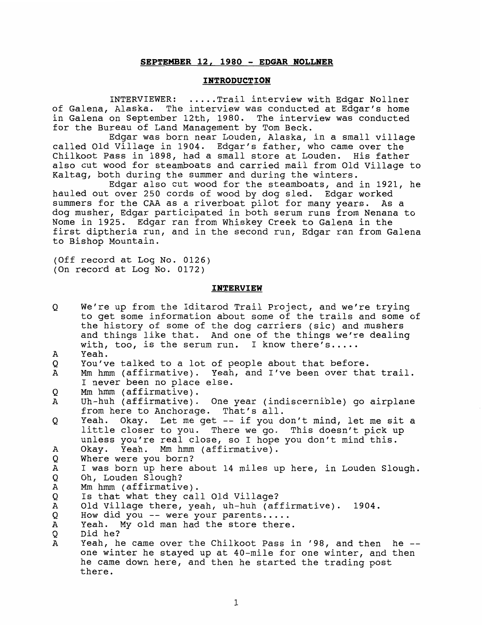## **SEPTEMBER 12, 1980** - **EDGAR NOLLNER**

## **INTRODUCTION**

INTERVIEWER: ..... Trail interview with Edgar Nollner of Galena, Alaska. The interview was conducted at Edgar's home in Galena on September 12th, 1980. The interview was conducted for the Bureau of Land Management by Tom Beck.

Edgar was born near Louden, Alaska, in a small village called Old Village in 1904. Edgar's father, who came over the Chilkoot Pass in 1898, had a small store at Louden. His father also cut wood for steamboats and carried mail from Old Village to Kaltag, both during the summer and during the winters.

Edgar also cut wood for the steamboats, and in 1921, he hauled out over 250 cords of wood by dog sled. Edgar worked summers for the CAA as a riverboat pilot for many years. As a dog musher, Edgar participated in both serum runs from Nenana to Nome in 1925. Edgar ran from Whiskey Creek to Galena in the first diptheria run, and in the second run, Edgar ran from Galena to Bishop Mountain.

(Off record at Log No. 0126) (On record at Log No. 0172)

## **INTERVIEW**

| Q | We're up from the Iditarod Trail Project, and we're trying<br>to get some information about some of the trails and some of<br>the history of some of the dog carriers (sic) and mushers<br>and things like that. And one of the things we're dealing<br>with, too, is the serum run. I know there's |
|---|-----------------------------------------------------------------------------------------------------------------------------------------------------------------------------------------------------------------------------------------------------------------------------------------------------|
|   |                                                                                                                                                                                                                                                                                                     |
| А | Yeah.                                                                                                                                                                                                                                                                                               |
| Q | You've talked to a lot of people about that before.                                                                                                                                                                                                                                                 |
| Α | Mm hmm (affirmative). Yeah, and I've been over that trail.<br>I never been no place else.                                                                                                                                                                                                           |
| Q | Mm hmm (affirmative).                                                                                                                                                                                                                                                                               |
| А | Uh-huh (affirmative). One year (indiscernible) go airplane<br>from here to Anchorage. That's all.                                                                                                                                                                                                   |
| Q | Yeah. Okay. Let me get -- if you don't mind, let me sit a<br>little closer to you. There we go. This doesn't pick up<br>unless you're real close, so I hope you don't mind this.                                                                                                                    |
| А | Okay. Yeah. Mm hmm (affirmative).                                                                                                                                                                                                                                                                   |
| Q | Where were you born?                                                                                                                                                                                                                                                                                |
| Α | I was born up here about 14 miles up here, in Louden Slough.                                                                                                                                                                                                                                        |
| Q | Oh, Louden Slough?                                                                                                                                                                                                                                                                                  |
| Α | Mm hmm (affirmative).                                                                                                                                                                                                                                                                               |
| Q | Is that what they call Old Village?                                                                                                                                                                                                                                                                 |
| A | Old Village there, yeah, uh-huh (affirmative). 1904.                                                                                                                                                                                                                                                |
| Q | How did you -- were your parents                                                                                                                                                                                                                                                                    |
| A | Yeah. My old man had the store there.                                                                                                                                                                                                                                                               |
| Q | Did he?                                                                                                                                                                                                                                                                                             |
| A | Yeah, he came over the Chilkoot Pass in '98, and then he --                                                                                                                                                                                                                                         |
|   | one winter he stayed up at 40-mile for one winter, and then                                                                                                                                                                                                                                         |
|   | he came down here, and then he started the trading post                                                                                                                                                                                                                                             |
|   | there.                                                                                                                                                                                                                                                                                              |